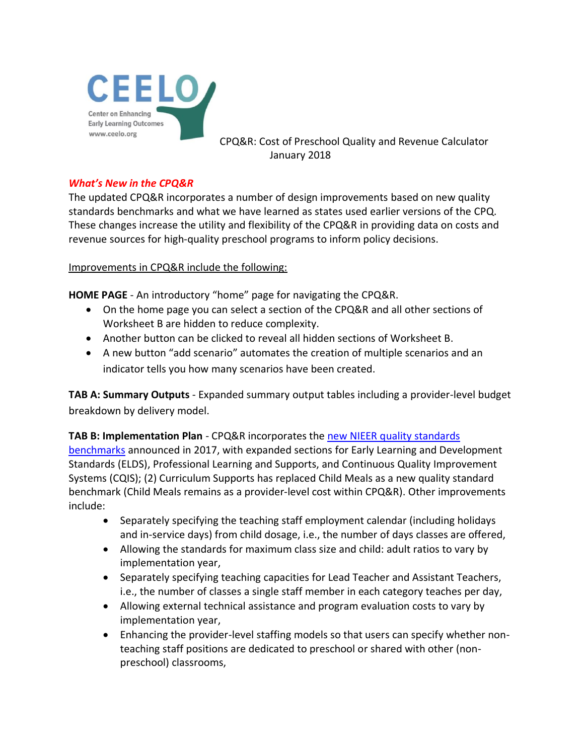

CPQ&R: Cost of Preschool Quality and Revenue Calculator January 2018

## *What's New in the CPQ&R*

The updated CPQ&R incorporates a number of design improvements based on new quality standards benchmarks and what we have learned as states used earlier versions of the CPQ. These changes increase the utility and flexibility of the CPQ&R in providing data on costs and revenue sources for high-quality preschool programs to inform policy decisions.

Improvements in CPQ&R include the following:

**HOME PAGE** - An introductory "home" page for navigating the CPQ&R.

- On the home page you can select a section of the CPQ&R and all other sections of Worksheet B are hidden to reduce complexity.
- Another button can be clicked to reveal all hidden sections of Worksheet B.
- A new button "add scenario" automates the creation of multiple scenarios and an indicator tells you how many scenarios have been created.

**TAB A: Summary Outputs** - Expanded summary output tables including a provider-level budget breakdown by delivery model.

**TAB B: Implementation Plan** - CPQ&R incorporates the [new NIEER quality standards](http://nieer.org/state-preschool-yearbooks/yearbook2016) 

[benchmarks](http://nieer.org/state-preschool-yearbooks/yearbook2016) announced in 2017, with expanded sections for Early Learning and Development Standards (ELDS), Professional Learning and Supports, and Continuous Quality Improvement Systems (CQIS); (2) Curriculum Supports has replaced Child Meals as a new quality standard benchmark (Child Meals remains as a provider-level cost within CPQ&R). Other improvements include:

- Separately specifying the teaching staff employment calendar (including holidays and in-service days) from child dosage, i.e., the number of days classes are offered,
- Allowing the standards for maximum class size and child: adult ratios to vary by implementation year,
- Separately specifying teaching capacities for Lead Teacher and Assistant Teachers, i.e., the number of classes a single staff member in each category teaches per day,
- Allowing external technical assistance and program evaluation costs to vary by implementation year,
- Enhancing the provider-level staffing models so that users can specify whether nonteaching staff positions are dedicated to preschool or shared with other (nonpreschool) classrooms,